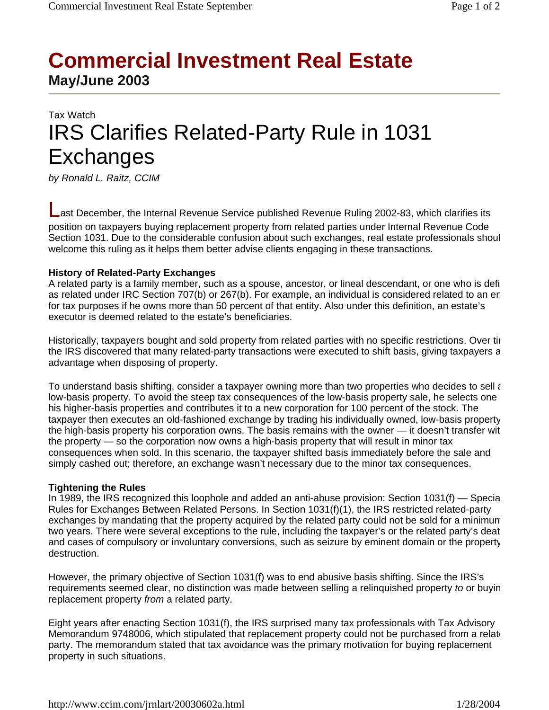## **Commercial Investment Real Estate May/June 2003**

# Tax Watch IRS Clarifies Related-Party Rule in 1031 Exchanges

*by Ronald L. Raitz, CCIM*

Last December, the Internal Revenue Service published Revenue Ruling 2002-83, which clarifies its position on taxpayers buying replacement property from related parties under Internal Revenue Code Section 1031. Due to the considerable confusion about such exchanges, real estate professionals shoul welcome this ruling as it helps them better advise clients engaging in these transactions.

#### **History of Related-Party Exchanges**

A related party is a family member, such as a spouse, ancestor, or lineal descendant, or one who is defi as related under IRC Section 707(b) or 267(b). For example, an individual is considered related to an en for tax purposes if he owns more than 50 percent of that entity. Also under this definition, an estate's executor is deemed related to the estate's beneficiaries.

Historically, taxpayers bought and sold property from related parties with no specific restrictions. Over tir the IRS discovered that many related-party transactions were executed to shift basis, giving taxpayers a advantage when disposing of property.

To understand basis shifting, consider a taxpayer owning more than two properties who decides to sell as low-basis property. To avoid the steep tax consequences of the low-basis property sale, he selects one his higher-basis properties and contributes it to a new corporation for 100 percent of the stock. The taxpayer then executes an old-fashioned exchange by trading his individually owned, low-basis property the high-basis property his corporation owns. The basis remains with the owner — it doesn't transfer wit the property — so the corporation now owns a high-basis property that will result in minor tax consequences when sold. In this scenario, the taxpayer shifted basis immediately before the sale and simply cashed out; therefore, an exchange wasn't necessary due to the minor tax consequences.

#### **Tightening the Rules**

In 1989, the IRS recognized this loophole and added an anti-abuse provision: Section 1031(f) — Specia Rules for Exchanges Between Related Persons. In Section 1031(f)(1), the IRS restricted related-party exchanges by mandating that the property acquired by the related party could not be sold for a minimum two years. There were several exceptions to the rule, including the taxpayer's or the related party's deat and cases of compulsory or involuntary conversions, such as seizure by eminent domain or the property destruction.

However, the primary objective of Section 1031(f) was to end abusive basis shifting. Since the IRS's requirements seemed clear, no distinction was made between selling a relinquished property *to* or buyin replacement property *from* a related party.

Eight years after enacting Section 1031(f), the IRS surprised many tax professionals with Tax Advisory Memorandum 9748006, which stipulated that replacement property could not be purchased from a relate party. The memorandum stated that tax avoidance was the primary motivation for buying replacement property in such situations.